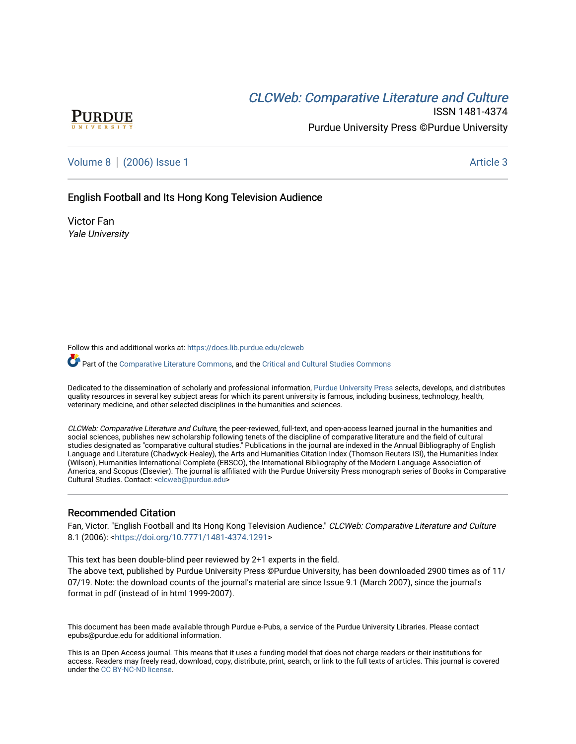# **CLCW[eb: Comparative Liter](https://docs.lib.purdue.edu/clcweb)ature and Culture**



ISSN 1481-4374 Purdue University Press ©Purdue University

[Volume 8](https://docs.lib.purdue.edu/clcweb/vol8) | [\(2006\) Issue 1](https://docs.lib.purdue.edu/clcweb/vol8/iss1) Article 3

### English Football and Its Hong Kong Television Audience

Victor Fan Yale University

Follow this and additional works at: [https://docs.lib.purdue.edu/clcweb](https://docs.lib.purdue.edu/clcweb?utm_source=docs.lib.purdue.edu%2Fclcweb%2Fvol8%2Fiss1%2F3&utm_medium=PDF&utm_campaign=PDFCoverPages)

Part of the [Comparative Literature Commons,](http://network.bepress.com/hgg/discipline/454?utm_source=docs.lib.purdue.edu%2Fclcweb%2Fvol8%2Fiss1%2F3&utm_medium=PDF&utm_campaign=PDFCoverPages) and the [Critical and Cultural Studies Commons](http://network.bepress.com/hgg/discipline/328?utm_source=docs.lib.purdue.edu%2Fclcweb%2Fvol8%2Fiss1%2F3&utm_medium=PDF&utm_campaign=PDFCoverPages) 

Dedicated to the dissemination of scholarly and professional information, [Purdue University Press](http://www.thepress.purdue.edu/) selects, develops, and distributes quality resources in several key subject areas for which its parent university is famous, including business, technology, health, veterinary medicine, and other selected disciplines in the humanities and sciences.

CLCWeb: Comparative Literature and Culture, the peer-reviewed, full-text, and open-access learned journal in the humanities and social sciences, publishes new scholarship following tenets of the discipline of comparative literature and the field of cultural studies designated as "comparative cultural studies." Publications in the journal are indexed in the Annual Bibliography of English Language and Literature (Chadwyck-Healey), the Arts and Humanities Citation Index (Thomson Reuters ISI), the Humanities Index (Wilson), Humanities International Complete (EBSCO), the International Bibliography of the Modern Language Association of America, and Scopus (Elsevier). The journal is affiliated with the Purdue University Press monograph series of Books in Comparative Cultural Studies. Contact: [<clcweb@purdue.edu](mailto:clcweb@purdue.edu)>

#### Recommended Citation

Fan, Victor. "English Football and Its Hong Kong Television Audience." CLCWeb: Comparative Literature and Culture 8.1 (2006): [<https://doi.org/10.7771/1481-4374.1291>](https://doi.org/10.7771/1481-4374.1291)

This text has been double-blind peer reviewed by 2+1 experts in the field.

The above text, published by Purdue University Press ©Purdue University, has been downloaded 2900 times as of 11/ 07/19. Note: the download counts of the journal's material are since Issue 9.1 (March 2007), since the journal's format in pdf (instead of in html 1999-2007).

This document has been made available through Purdue e-Pubs, a service of the Purdue University Libraries. Please contact epubs@purdue.edu for additional information.

This is an Open Access journal. This means that it uses a funding model that does not charge readers or their institutions for access. Readers may freely read, download, copy, distribute, print, search, or link to the full texts of articles. This journal is covered under the [CC BY-NC-ND license.](https://creativecommons.org/licenses/by-nc-nd/4.0/)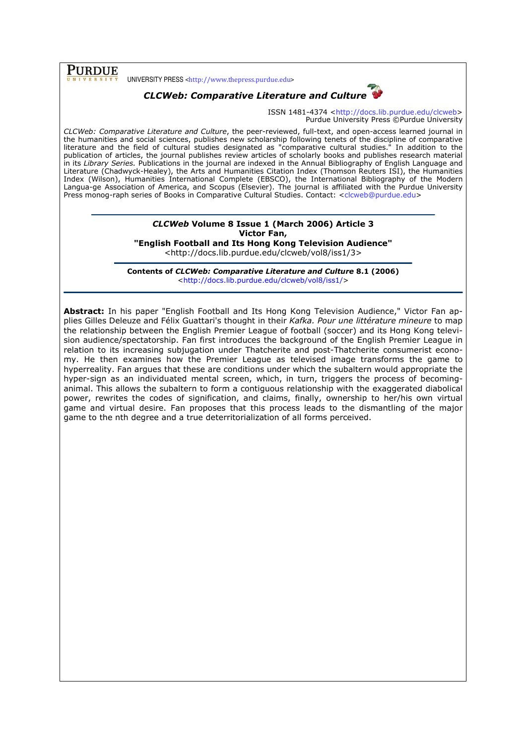## PURDUE

UNIVERSITY PRESS <http://www.thepress.purdue.edu>



ISSN 1481-4374 <http://docs.lib.purdue.edu/clcweb> Purdue University Press ©Purdue University

CLCWeb: Comparative Literature and Culture, the peer-reviewed, full-text, and open-access learned journal in the humanities and social sciences, publishes new scholarship following tenets of the discipline of comparative literature and the field of cultural studies designated as "comparative cultural studies." In addition to the publication of articles, the journal publishes review articles of scholarly books and publishes research material in its Library Series. Publications in the journal are indexed in the Annual Bibliography of English Language and Literature (Chadwyck-Healey), the Arts and Humanities Citation Index (Thomson Reuters ISI), the Humanities Index (Wilson), Humanities International Complete (EBSCO), the International Bibliography of the Modern Langua-ge Association of America, and Scopus (Elsevier). The journal is affiliated with the Purdue University Press monog-raph series of Books in Comparative Cultural Studies. Contact: <clcweb@purdue.edu>

## CLCWeb Volume 8 Issue 1 (March 2006) Article 3 Victor Fan,

"English Football and Its Hong Kong Television Audience"

<http://docs.lib.purdue.edu/clcweb/vol8/iss1/3>

Contents of CLCWeb: Comparative Literature and Culture 8.1 (2006) <http://docs.lib.purdue.edu/clcweb/vol8/iss1/>

Abstract: In his paper "English Football and Its Hong Kong Television Audience," Victor Fan applies Gilles Deleuze and Félix Guattari's thought in their Kafka. Pour une littérature mineure to map the relationship between the English Premier League of football (soccer) and its Hong Kong television audience/spectatorship. Fan first introduces the background of the English Premier League in relation to its increasing subjugation under Thatcherite and post-Thatcherite consumerist economy. He then examines how the Premier League as televised image transforms the game to hyperreality. Fan argues that these are conditions under which the subaltern would appropriate the hyper-sign as an individuated mental screen, which, in turn, triggers the process of becominganimal. This allows the subaltern to form a contiguous relationship with the exaggerated diabolical power, rewrites the codes of signification, and claims, finally, ownership to her/his own virtual game and virtual desire. Fan proposes that this process leads to the dismantling of the major game to the nth degree and a true deterritorialization of all forms perceived.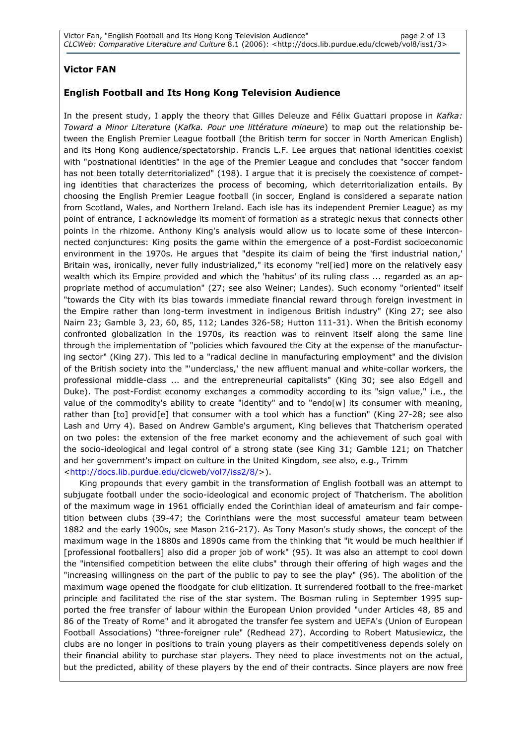## Victor FAN

### English Football and Its Hong Kong Television Audience

In the present study, I apply the theory that Gilles Deleuze and Félix Guattari propose in Kafka: Toward a Minor Literature (Kafka. Pour une littérature mineure) to map out the relationship between the English Premier League football (the British term for soccer in North American English) and its Hong Kong audience/spectatorship. Francis L.F. Lee argues that national identities coexist with "postnational identities" in the age of the Premier League and concludes that "soccer fandom has not been totally deterritorialized" (198). I argue that it is precisely the coexistence of competing identities that characterizes the process of becoming, which deterritorialization entails. By choosing the English Premier League football (in soccer, England is considered a separate nation from Scotland, Wales, and Northern Ireland. Each isle has its independent Premier League) as my point of entrance, I acknowledge its moment of formation as a strategic nexus that connects other points in the rhizome. Anthony King's analysis would allow us to locate some of these interconnected conjunctures: King posits the game within the emergence of a post-Fordist socioeconomic environment in the 1970s. He argues that "despite its claim of being the 'first industrial nation,' Britain was, ironically, never fully industrialized," its economy "rel[ied] more on the relatively easy wealth which its Empire provided and which the 'habitus' of its ruling class ... regarded as an appropriate method of accumulation" (27; see also Weiner; Landes). Such economy "oriented" itself "towards the City with its bias towards immediate financial reward through foreign investment in the Empire rather than long-term investment in indigenous British industry" (King 27; see also Nairn 23; Gamble 3, 23, 60, 85, 112; Landes 326-58; Hutton 111-31). When the British economy confronted globalization in the 1970s, its reaction was to reinvent itself along the same line through the implementation of "policies which favoured the City at the expense of the manufacturing sector" (King 27). This led to a "radical decline in manufacturing employment" and the division of the British society into the "'underclass,' the new affluent manual and white-collar workers, the professional middle-class ... and the entrepreneurial capitalists" (King 30; see also Edgell and Duke). The post-Fordist economy exchanges a commodity according to its "sign value," i.e., the value of the commodity's ability to create "identity" and to "endo[w] its consumer with meaning, rather than [to] provid[e] that consumer with a tool which has a function" (King 27-28; see also Lash and Urry 4). Based on Andrew Gamble's argument, King believes that Thatcherism operated on two poles: the extension of the free market economy and the achievement of such goal with the socio-ideological and legal control of a strong state (see King 31; Gamble 121; on Thatcher and her government's impact on culture in the United Kingdom, see also, e.g., Trimm <http://docs.lib.purdue.edu/clcweb/vol7/iss2/8/>).

 King propounds that every gambit in the transformation of English football was an attempt to subjugate football under the socio-ideological and economic project of Thatcherism. The abolition of the maximum wage in 1961 officially ended the Corinthian ideal of amateurism and fair competition between clubs (39-47; the Corinthians were the most successful amateur team between 1882 and the early 1900s, see Mason 216-217). As Tony Mason's study shows, the concept of the maximum wage in the 1880s and 1890s came from the thinking that "it would be much healthier if [professional footballers] also did a proper job of work" (95). It was also an attempt to cool down the "intensified competition between the elite clubs" through their offering of high wages and the "increasing willingness on the part of the public to pay to see the play" (96). The abolition of the maximum wage opened the floodgate for club elitization. It surrendered football to the free-market principle and facilitated the rise of the star system. The Bosman ruling in September 1995 supported the free transfer of labour within the European Union provided "under Articles 48, 85 and 86 of the Treaty of Rome" and it abrogated the transfer fee system and UEFA's (Union of European Football Associations) "three-foreigner rule" (Redhead 27). According to Robert Matusiewicz, the clubs are no longer in positions to train young players as their competitiveness depends solely on their financial ability to purchase star players. They need to place investments not on the actual, but the predicted, ability of these players by the end of their contracts. Since players are now free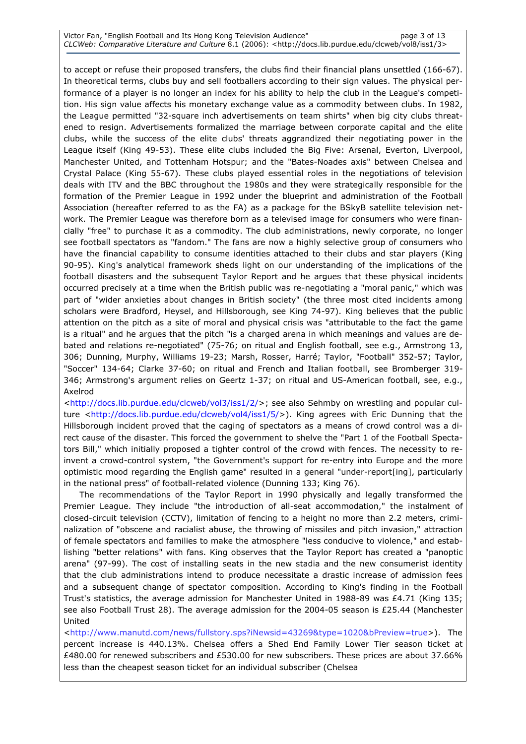#### Victor Fan, "English Football and Its Hong Kong Television Audience" page 3 of 13 CLCWeb: Comparative Literature and Culture 8.1 (2006): <http://docs.lib.purdue.edu/clcweb/vol8/iss1/3>

to accept or refuse their proposed transfers, the clubs find their financial plans unsettled (166-67). In theoretical terms, clubs buy and sell footballers according to their sign values. The physical performance of a player is no longer an index for his ability to help the club in the League's competition. His sign value affects his monetary exchange value as a commodity between clubs. In 1982, the League permitted "32-square inch advertisements on team shirts" when big city clubs threatened to resign. Advertisements formalized the marriage between corporate capital and the elite clubs, while the success of the elite clubs' threats aggrandized their negotiating power in the League itself (King 49-53). These elite clubs included the Big Five: Arsenal, Everton, Liverpool, Manchester United, and Tottenham Hotspur; and the "Bates-Noades axis" between Chelsea and Crystal Palace (King 55-67). These clubs played essential roles in the negotiations of television deals with ITV and the BBC throughout the 1980s and they were strategically responsible for the formation of the Premier League in 1992 under the blueprint and administration of the Football Association (hereafter referred to as the FA) as a package for the BSkyB satellite television network. The Premier League was therefore born as a televised image for consumers who were financially "free" to purchase it as a commodity. The club administrations, newly corporate, no longer see football spectators as "fandom." The fans are now a highly selective group of consumers who have the financial capability to consume identities attached to their clubs and star players (King 90-95). King's analytical framework sheds light on our understanding of the implications of the football disasters and the subsequent Taylor Report and he argues that these physical incidents occurred precisely at a time when the British public was re-negotiating a "moral panic," which was part of "wider anxieties about changes in British society" (the three most cited incidents among scholars were Bradford, Heysel, and Hillsborough, see King 74-97). King believes that the public attention on the pitch as a site of moral and physical crisis was "attributable to the fact the game is a ritual" and he argues that the pitch "is a charged arena in which meanings and values are debated and relations re-negotiated" (75-76; on ritual and English football, see e.g., Armstrong 13, 306; Dunning, Murphy, Williams 19-23; Marsh, Rosser, Harré; Taylor, "Football" 352-57; Taylor, "Soccer" 134-64; Clarke 37-60; on ritual and French and Italian football, see Bromberger 319- 346; Armstrong's argument relies on Geertz 1-37; on ritual and US-American football, see, e.g., Axelrod

<http://docs.lib.purdue.edu/clcweb/vol3/iss1/2/>; see also Sehmby on wrestling and popular culture <http://docs.lib.purdue.edu/clcweb/vol4/iss1/5/>). King agrees with Eric Dunning that the Hillsborough incident proved that the caging of spectators as a means of crowd control was a direct cause of the disaster. This forced the government to shelve the "Part 1 of the Football Spectators Bill," which initially proposed a tighter control of the crowd with fences. The necessity to reinvent a crowd-control system, "the Government's support for re-entry into Europe and the more optimistic mood regarding the English game" resulted in a general "under-report[ing], particularly in the national press" of football-related violence (Dunning 133; King 76).

 The recommendations of the Taylor Report in 1990 physically and legally transformed the Premier League. They include "the introduction of all-seat accommodation," the instalment of closed-circuit television (CCTV), limitation of fencing to a height no more than 2.2 meters, criminalization of "obscene and racialist abuse, the throwing of missiles and pitch invasion," attraction of female spectators and families to make the atmosphere "less conducive to violence," and establishing "better relations" with fans. King observes that the Taylor Report has created a "panoptic arena" (97-99). The cost of installing seats in the new stadia and the new consumerist identity that the club administrations intend to produce necessitate a drastic increase of admission fees and a subsequent change of spectator composition. According to King's finding in the Football Trust's statistics, the average admission for Manchester United in 1988-89 was £4.71 (King 135; see also Football Trust 28). The average admission for the 2004-05 season is £25.44 (Manchester United

<http://www.manutd.com/news/fullstory.sps?iNewsid=43269&type=1020&bPreview=true>). The percent increase is 440.13%. Chelsea offers a Shed End Family Lower Tier season ticket at £480.00 for renewed subscribers and £530.00 for new subscribers. These prices are about 37.66% less than the cheapest season ticket for an individual subscriber (Chelsea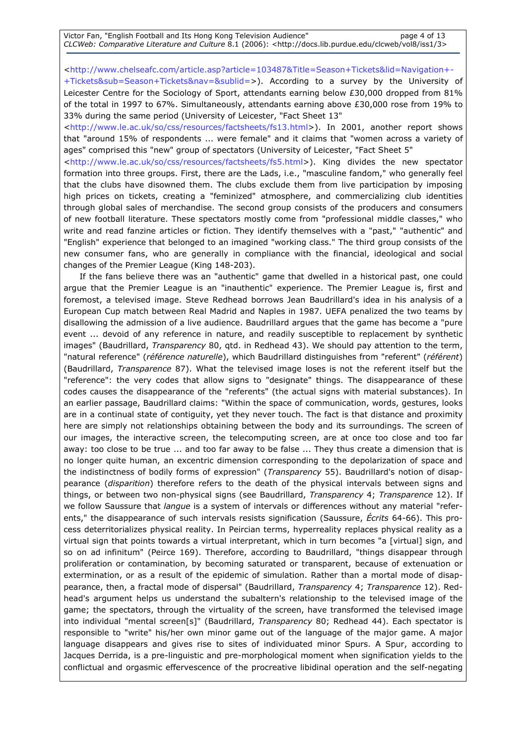Victor Fan, "English Football and Its Hong Kong Television Audience" page 4 of 13 CLCWeb: Comparative Literature and Culture 8.1 (2006): <http://docs.lib.purdue.edu/clcweb/vol8/iss1/3>

<http://www.chelseafc.com/article.asp?article=103487&Title=Season+Tickets&lid=Navigation+-

+Tickets&sub=Season+Tickets&nav=&sublid=>). According to a survey by the University of Leicester Centre for the Sociology of Sport, attendants earning below £30,000 dropped from 81% of the total in 1997 to 67%. Simultaneously, attendants earning above £30,000 rose from 19% to 33% during the same period (University of Leicester, "Fact Sheet 13"

<http://www.le.ac.uk/so/css/resources/factsheets/fs13.html>). In 2001, another report shows that "around 15% of respondents ... were female" and it claims that "women across a variety of ages" comprised this "new" group of spectators (University of Leicester, "Fact Sheet 5"

<http://www.le.ac.uk/so/css/resources/factsheets/fs5.html>). King divides the new spectator formation into three groups. First, there are the Lads, i.e., "masculine fandom," who generally feel that the clubs have disowned them. The clubs exclude them from live participation by imposing high prices on tickets, creating a "feminized" atmosphere, and commercializing club identities through global sales of merchandise. The second group consists of the producers and consumers of new football literature. These spectators mostly come from "professional middle classes," who write and read fanzine articles or fiction. They identify themselves with a "past," "authentic" and "English" experience that belonged to an imagined "working class." The third group consists of the new consumer fans, who are generally in compliance with the financial, ideological and social changes of the Premier League (King 148-203).

 If the fans believe there was an "authentic" game that dwelled in a historical past, one could argue that the Premier League is an "inauthentic" experience. The Premier League is, first and foremost, a televised image. Steve Redhead borrows Jean Baudrillard's idea in his analysis of a European Cup match between Real Madrid and Naples in 1987. UEFA penalized the two teams by disallowing the admission of a live audience. Baudrillard argues that the game has become a "pure event ... devoid of any reference in nature, and readily susceptible to replacement by synthetic images" (Baudrillard, Transparency 80, qtd. in Redhead 43). We should pay attention to the term, "natural reference" (référence naturelle), which Baudrillard distinguishes from "referent" (référent) (Baudrillard, Transparence 87). What the televised image loses is not the referent itself but the "reference": the very codes that allow signs to "designate" things. The disappearance of these codes causes the disappearance of the "referents" (the actual signs with material substances). In an earlier passage, Baudrillard claims: "Within the space of communication, words, gestures, looks are in a continual state of contiguity, yet they never touch. The fact is that distance and proximity here are simply not relationships obtaining between the body and its surroundings. The screen of our images, the interactive screen, the telecomputing screen, are at once too close and too far away: too close to be true ... and too far away to be false ... They thus create a dimension that is no longer quite human, an excentric dimension corresponding to the depolarization of space and the indistinctness of bodily forms of expression" (Transparency 55). Baudrillard's notion of disappearance (disparition) therefore refers to the death of the physical intervals between signs and things, or between two non-physical signs (see Baudrillard, Transparency 4; Transparence 12). If we follow Saussure that *langue* is a system of intervals or differences without any material "referents," the disappearance of such intervals resists signification (Saussure, Écrits 64-66). This process deterritorializes physical reality. In Peircian terms, hyperreality replaces physical reality as a virtual sign that points towards a virtual interpretant, which in turn becomes "a [virtual] sign, and so on ad infinitum" (Peirce 169). Therefore, according to Baudrillard, "things disappear through proliferation or contamination, by becoming saturated or transparent, because of extenuation or extermination, or as a result of the epidemic of simulation. Rather than a mortal mode of disappearance, then, a fractal mode of dispersal" (Baudrillard, Transparency 4; Transparence 12). Redhead's argument helps us understand the subaltern's relationship to the televised image of the game; the spectators, through the virtuality of the screen, have transformed the televised image into individual "mental screen[s]" (Baudrillard, Transparency 80; Redhead 44). Each spectator is responsible to "write" his/her own minor game out of the language of the major game. A major language disappears and gives rise to sites of individuated minor Spurs. A Spur, according to Jacques Derrida, is a pre-linguistic and pre-morphological moment when signification yields to the conflictual and orgasmic effervescence of the procreative libidinal operation and the self-negating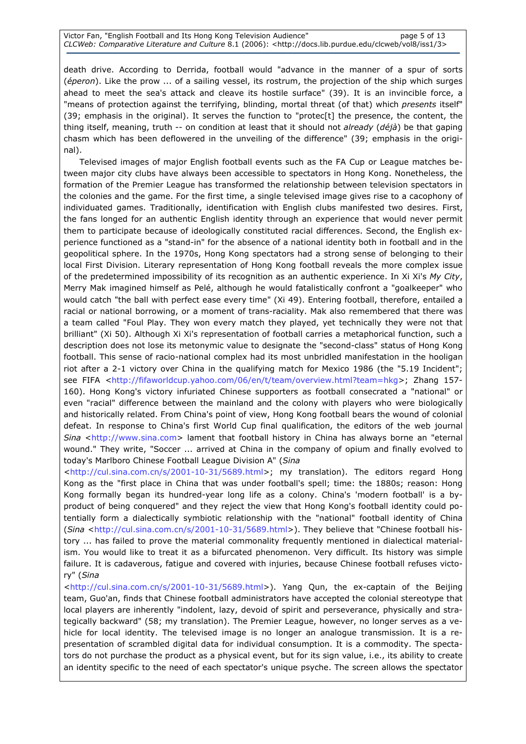death drive. According to Derrida, football would "advance in the manner of a spur of sorts (éperon). Like the prow ... of a sailing vessel, its rostrum, the projection of the ship which surges ahead to meet the sea's attack and cleave its hostile surface" (39). It is an invincible force, a "means of protection against the terrifying, blinding, mortal threat (of that) which presents itself" (39; emphasis in the original). It serves the function to "protec[t] the presence, the content, the thing itself, meaning, truth -- on condition at least that it should not already (déjà) be that gaping chasm which has been deflowered in the unveiling of the difference" (39; emphasis in the original).

 Televised images of major English football events such as the FA Cup or League matches between major city clubs have always been accessible to spectators in Hong Kong. Nonetheless, the formation of the Premier League has transformed the relationship between television spectators in the colonies and the game. For the first time, a single televised image gives rise to a cacophony of individuated games. Traditionally, identification with English clubs manifested two desires. First, the fans longed for an authentic English identity through an experience that would never permit them to participate because of ideologically constituted racial differences. Second, the English experience functioned as a "stand-in" for the absence of a national identity both in football and in the geopolitical sphere. In the 1970s, Hong Kong spectators had a strong sense of belonging to their local First Division. Literary representation of Hong Kong football reveals the more complex issue of the predetermined impossibility of its recognition as an authentic experience. In Xi Xi's My City, Merry Mak imagined himself as Pelé, although he would fatalistically confront a "goalkeeper" who would catch "the ball with perfect ease every time" (Xi 49). Entering football, therefore, entailed a racial or national borrowing, or a moment of trans-raciality. Mak also remembered that there was a team called "Foul Play. They won every match they played, yet technically they were not that brilliant" (Xi 50). Although Xi Xi's representation of football carries a metaphorical function, such a description does not lose its metonymic value to designate the "second-class" status of Hong Kong football. This sense of racio-national complex had its most unbridled manifestation in the hooligan riot after a 2-1 victory over China in the qualifying match for Mexico 1986 (the "5.19 Incident"; see FIFA <http://fifaworldcup.yahoo.com/06/en/t/team/overview.html?team=hkg>; Zhang 157-160). Hong Kong's victory infuriated Chinese supporters as football consecrated a "national" or even "racial" difference between the mainland and the colony with players who were biologically and historically related. From China's point of view, Hong Kong football bears the wound of colonial defeat. In response to China's first World Cup final qualification, the editors of the web journal Sina <http://www.sina.com> lament that football history in China has always borne an "eternal wound." They write, "Soccer ... arrived at China in the company of opium and finally evolved to today's Marlboro Chinese Football League Division A" (Sina

<http://cul.sina.com.cn/s/2001-10-31/5689.html>; my translation). The editors regard Hong Kong as the "first place in China that was under football's spell; time: the 1880s; reason: Hong Kong formally began its hundred-year long life as a colony. China's 'modern football' is a byproduct of being conquered" and they reject the view that Hong Kong's football identity could potentially form a dialectically symbiotic relationship with the "national" football identity of China (Sina <http://cul.sina.com.cn/s/2001-10-31/5689.html>). They believe that "Chinese football history ... has failed to prove the material commonality frequently mentioned in dialectical materialism. You would like to treat it as a bifurcated phenomenon. Very difficult. Its history was simple failure. It is cadaverous, fatigue and covered with injuries, because Chinese football refuses victory" (Sina

<http://cul.sina.com.cn/s/2001-10-31/5689.html>). Yang Qun, the ex-captain of the Beijing team, Guo'an, finds that Chinese football administrators have accepted the colonial stereotype that local players are inherently "indolent, lazy, devoid of spirit and perseverance, physically and strategically backward" (58; my translation). The Premier League, however, no longer serves as a vehicle for local identity. The televised image is no longer an analogue transmission. It is a representation of scrambled digital data for individual consumption. It is a commodity. The spectators do not purchase the product as a physical event, but for its sign value, i.e., its ability to create an identity specific to the need of each spectator's unique psyche. The screen allows the spectator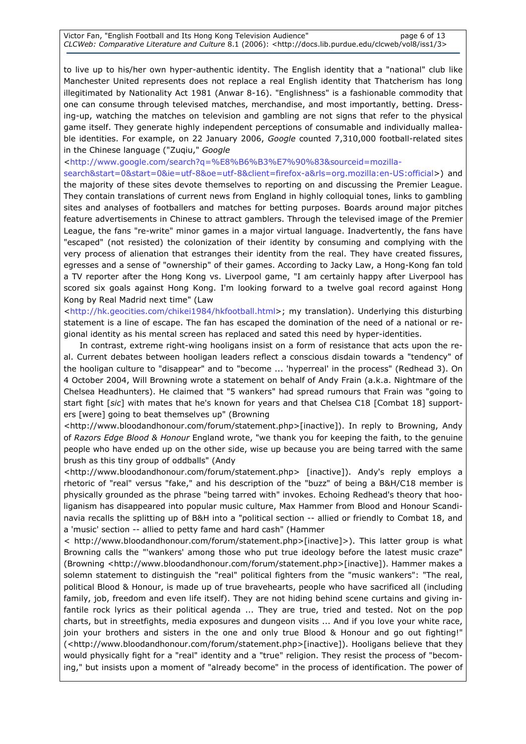to live up to his/her own hyper-authentic identity. The English identity that a "national" club like Manchester United represents does not replace a real English identity that Thatcherism has long illegitimated by Nationality Act 1981 (Anwar 8-16). "Englishness" is a fashionable commodity that one can consume through televised matches, merchandise, and most importantly, betting. Dressing-up, watching the matches on television and gambling are not signs that refer to the physical game itself. They generate highly independent perceptions of consumable and individually malleable identities. For example, on 22 January 2006, Google counted 7,310,000 football-related sites in the Chinese language ("Zuqiu," Google

<http://www.google.com/search?q=%E8%B6%B3%E7%90%83&sourceid=mozillasearch&start=0&start=0&ie=utf-8&oe=utf-8&client=firefox-a&rls=org.mozilla:en-US:official>) and the majority of these sites devote themselves to reporting on and discussing the Premier League. They contain translations of current news from England in highly colloquial tones, links to gambling sites and analyses of footballers and matches for betting purposes. Boards around major pitches feature advertisements in Chinese to attract gamblers. Through the televised image of the Premier League, the fans "re-write" minor games in a major virtual language. Inadvertently, the fans have "escaped" (not resisted) the colonization of their identity by consuming and complying with the very process of alienation that estranges their identity from the real. They have created fissures, egresses and a sense of "ownership" of their games. According to Jacky Law, a Hong-Kong fan told a TV reporter after the Hong Kong vs. Liverpool game, "I am certainly happy after Liverpool has scored six goals against Hong Kong. I'm looking forward to a twelve goal record against Hong Kong by Real Madrid next time" (Law

<http://hk.geocities.com/chikei1984/hkfootball.html>; my translation). Underlying this disturbing statement is a line of escape. The fan has escaped the domination of the need of a national or regional identity as his mental screen has replaced and sated this need by hyper-identities.

 In contrast, extreme right-wing hooligans insist on a form of resistance that acts upon the real. Current debates between hooligan leaders reflect a conscious disdain towards a "tendency" of the hooligan culture to "disappear" and to "become ... 'hyperreal' in the process" (Redhead 3). On 4 October 2004, Will Browning wrote a statement on behalf of Andy Frain (a.k.a. Nightmare of the Chelsea Headhunters). He claimed that "5 wankers" had spread rumours that Frain was "going to start fight [sic] with mates that he's known for years and that Chelsea C18 [Combat 18] supporters [were] going to beat themselves up" (Browning

<http://www.bloodandhonour.com/forum/statement.php>[inactive]). In reply to Browning, Andy of Razors Edge Blood & Honour England wrote, "we thank you for keeping the faith, to the genuine people who have ended up on the other side, wise up because you are being tarred with the same brush as this tiny group of oddballs" (Andy

<http://www.bloodandhonour.com/forum/statement.php> [inactive]). Andy's reply employs a rhetoric of "real" versus "fake," and his description of the "buzz" of being a B&H/C18 member is physically grounded as the phrase "being tarred with" invokes. Echoing Redhead's theory that hooliganism has disappeared into popular music culture, Max Hammer from Blood and Honour Scandinavia recalls the splitting up of B&H into a "political section -- allied or friendly to Combat 18, and a 'music' section -- allied to petty fame and hard cash" (Hammer

< http://www.bloodandhonour.com/forum/statement.php>[inactive]>). This latter group is what Browning calls the "'wankers' among those who put true ideology before the latest music craze" (Browning <http://www.bloodandhonour.com/forum/statement.php>[inactive]). Hammer makes a solemn statement to distinguish the "real" political fighters from the "music wankers": "The real, political Blood & Honour, is made up of true bravehearts, people who have sacrificed all (including family, job, freedom and even life itself). They are not hiding behind scene curtains and giving infantile rock lyrics as their political agenda ... They are true, tried and tested. Not on the pop charts, but in streetfights, media exposures and dungeon visits ... And if you love your white race, join your brothers and sisters in the one and only true Blood & Honour and go out fighting!" (<http://www.bloodandhonour.com/forum/statement.php>[inactive]). Hooligans believe that they would physically fight for a "real" identity and a "true" religion. They resist the process of "becoming," but insists upon a moment of "already become" in the process of identification. The power of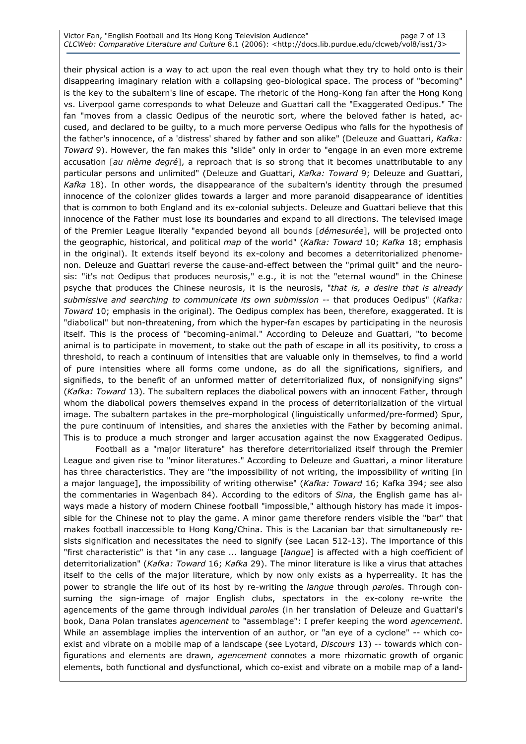#### Victor Fan, "English Football and Its Hong Kong Television Audience" page 7 of 13 CLCWeb: Comparative Literature and Culture 8.1 (2006): <http://docs.lib.purdue.edu/clcweb/vol8/iss1/3>

their physical action is a way to act upon the real even though what they try to hold onto is their disappearing imaginary relation with a collapsing geo-biological space. The process of "becoming" is the key to the subaltern's line of escape. The rhetoric of the Hong-Kong fan after the Hong Kong vs. Liverpool game corresponds to what Deleuze and Guattari call the "Exaggerated Oedipus." The fan "moves from a classic Oedipus of the neurotic sort, where the beloved father is hated, accused, and declared to be guilty, to a much more perverse Oedipus who falls for the hypothesis of the father's innocence, of a 'distress' shared by father and son alike" (Deleuze and Guattari, Kafka: Toward 9). However, the fan makes this "slide" only in order to "engage in an even more extreme accusation [au nième degré], a reproach that is so strong that it becomes unattributable to any particular persons and unlimited" (Deleuze and Guattari, Kafka: Toward 9; Deleuze and Guattari, Kafka 18). In other words, the disappearance of the subaltern's identity through the presumed innocence of the colonizer glides towards a larger and more paranoid disappearance of identities that is common to both England and its ex-colonial subjects. Deleuze and Guattari believe that this innocence of the Father must lose its boundaries and expand to all directions. The televised image of the Premier League literally "expanded beyond all bounds [démesurée], will be projected onto the geographic, historical, and political map of the world" (Kafka: Toward 10; Kafka 18; emphasis in the original). It extends itself beyond its ex-colony and becomes a deterritorialized phenomenon. Deleuze and Guattari reverse the cause-and-effect between the "primal guilt" and the neurosis: "it's not Oedipus that produces neurosis," e.g., it is not the "eternal wound" in the Chinese psyche that produces the Chinese neurosis, it is the neurosis, "that is, a desire that is already submissive and searching to communicate its own submission -- that produces Oedipus" (Kafka: Toward 10; emphasis in the original). The Oedipus complex has been, therefore, exaggerated. It is "diabolical" but non-threatening, from which the hyper-fan escapes by participating in the neurosis itself. This is the process of "becoming-animal." According to Deleuze and Guattari, "to become animal is to participate in movement, to stake out the path of escape in all its positivity, to cross a threshold, to reach a continuum of intensities that are valuable only in themselves, to find a world of pure intensities where all forms come undone, as do all the significations, signifiers, and signifieds, to the benefit of an unformed matter of deterritorialized flux, of nonsignifying signs" (Kafka: Toward 13). The subaltern replaces the diabolical powers with an innocent Father, through whom the diabolical powers themselves expand in the process of deterritorialization of the virtual image. The subaltern partakes in the pre-morphological (linguistically unformed/pre-formed) Spur, the pure continuum of intensities, and shares the anxieties with the Father by becoming animal. This is to produce a much stronger and larger accusation against the now Exaggerated Oedipus.

 Football as a "major literature" has therefore deterritorialized itself through the Premier League and given rise to "minor literatures." According to Deleuze and Guattari, a minor literature has three characteristics. They are "the impossibility of not writing, the impossibility of writing [in a major language], the impossibility of writing otherwise" (Kafka: Toward 16; Kafka 394; see also the commentaries in Wagenbach 84). According to the editors of *Sina*, the English game has always made a history of modern Chinese football "impossible," although history has made it impossible for the Chinese not to play the game. A minor game therefore renders visible the "bar" that makes football inaccessible to Hong Kong/China. This is the Lacanian bar that simultaneously resists signification and necessitates the need to signify (see Lacan 512-13). The importance of this "first characteristic" is that "in any case ... language [langue] is affected with a high coefficient of deterritorialization" (Kafka: Toward 16; Kafka 29). The minor literature is like a virus that attaches itself to the cells of the major literature, which by now only exists as a hyperreality. It has the power to strangle the life out of its host by re-writing the *langue* through paroles. Through consuming the sign-image of major English clubs, spectators in the ex-colony re-write the agencements of the game through individual paroles (in her translation of Deleuze and Guattari's book, Dana Polan translates *agencement* to "assemblage": I prefer keeping the word *agencement*. While an assemblage implies the intervention of an author, or "an eye of a cyclone" -- which coexist and vibrate on a mobile map of a landscape (see Lyotard, Discours 13) -- towards which configurations and elements are drawn, agencement connotes a more rhizomatic growth of organic elements, both functional and dysfunctional, which co-exist and vibrate on a mobile map of a land-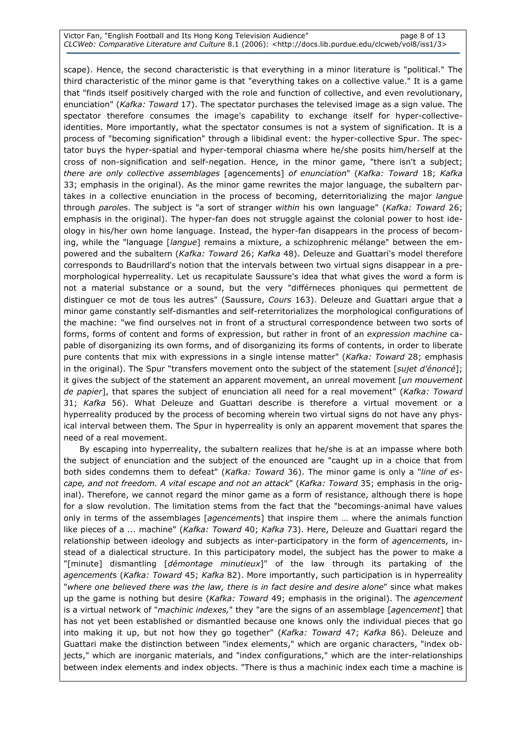#### Victor Fan, "English Football and Its Hong Kong Television Audience" page 8 of 13 CLCWeb: Comparative Literature and Culture 8.1 (2006): <http://docs.lib.purdue.edu/clcweb/vol8/iss1/3>

scape). Hence, the second characteristic is that everything in a minor literature is "political." The third characteristic of the minor game is that "everything takes on a collective value." It is a game that "finds itself positively charged with the role and function of collective, and even revolutionary, enunciation" (Kafka: Toward 17). The spectator purchases the televised image as a sign value. The spectator therefore consumes the image's capability to exchange itself for hyper-collectiveidentities. More importantly, what the spectator consumes is not a system of signification. It is a process of "becoming signification" through a libidinal event: the hyper-collective Spur. The spectator buys the hyper-spatial and hyper-temporal chiasma where he/she posits him/herself at the cross of non-signification and self-negation. Hence, in the minor game, "there isn't a subject; there are only collective assemblages [agencements] of enunciation" (Kafka: Toward 18; Kafka 33; emphasis in the original). As the minor game rewrites the major language, the subaltern partakes in a collective enunciation in the process of becoming, deterritorializing the major langue through paroles. The subject is "a sort of stranger within his own language" (Kafka: Toward 26; emphasis in the original). The hyper-fan does not struggle against the colonial power to host ideology in his/her own home language. Instead, the hyper-fan disappears in the process of becoming, while the "language [langue] remains a mixture, a schizophrenic mélange" between the empowered and the subaltern (Kafka: Toward 26; Kafka 48). Deleuze and Guattari's model therefore corresponds to Baudrillard's notion that the intervals between two virtual signs disappear in a premorphological hyperreality. Let us recapitulate Saussure's idea that what gives the word a form is not a material substance or a sound, but the very "différneces phoniques qui permettent de distinguer ce mot de tous les autres" (Saussure, Cours 163). Deleuze and Guattari argue that a minor game constantly self-dismantles and self-reterritorializes the morphological configurations of the machine: "we find ourselves not in front of a structural correspondence between two sorts of forms, forms of content and forms of expression, but rather in front of an expression machine capable of disorganizing its own forms, and of disorganizing its forms of contents, in order to liberate pure contents that mix with expressions in a single intense matter" (Kafka: Toward 28; emphasis in the original). The Spur "transfers movement onto the subject of the statement [sujet d'énoncé]; it gives the subject of the statement an apparent movement, an unreal movement [un mouvement de papier], that spares the subject of enunciation all need for a real movement" (Kafka: Toward 31; Kafka 56). What Deleuze and Guattari describe is therefore a virtual movement or a hyperreality produced by the process of becoming wherein two virtual signs do not have any physical interval between them. The Spur in hyperreality is only an apparent movement that spares the need of a real movement.

 By escaping into hyperreality, the subaltern realizes that he/she is at an impasse where both the subject of enunciation and the subject of the enounced are "caught up in a choice that from both sides condemns them to defeat" (Kafka: Toward 36). The minor game is only a "line of escape, and not freedom. A vital escape and not an attack" (Kafka: Toward 35; emphasis in the original). Therefore, we cannot regard the minor game as a form of resistance, although there is hope for a slow revolution. The limitation stems from the fact that the "becomings-animal have values only in terms of the assemblages [agencements] that inspire them ... where the animals function like pieces of a ... machine" (Kafka: Toward 40; Kafka 73). Here, Deleuze and Guattari regard the relationship between ideology and subjects as inter-participatory in the form of *agencements*, instead of a dialectical structure. In this participatory model, the subject has the power to make a "[minute] dismantling [démontage minutieux]" of the law through its partaking of the agencements (Kafka: Toward 45; Kafka 82). More importantly, such participation is in hyperreality "where one believed there was the law, there is in fact desire and desire alone" since what makes up the game is nothing but desire (Kafka: Toward 49; emphasis in the original). The agencement is a virtual network of "machinic indexes," they "are the signs of an assemblage [agencement] that has not yet been established or dismantled because one knows only the individual pieces that go into making it up, but not how they go together" (Kafka: Toward 47; Kafka 86). Deleuze and Guattari make the distinction between "index elements," which are organic characters, "index objects," which are inorganic materials, and "index configurations," which are the inter-relationships between index elements and index objects. "There is thus a machinic index each time a machine is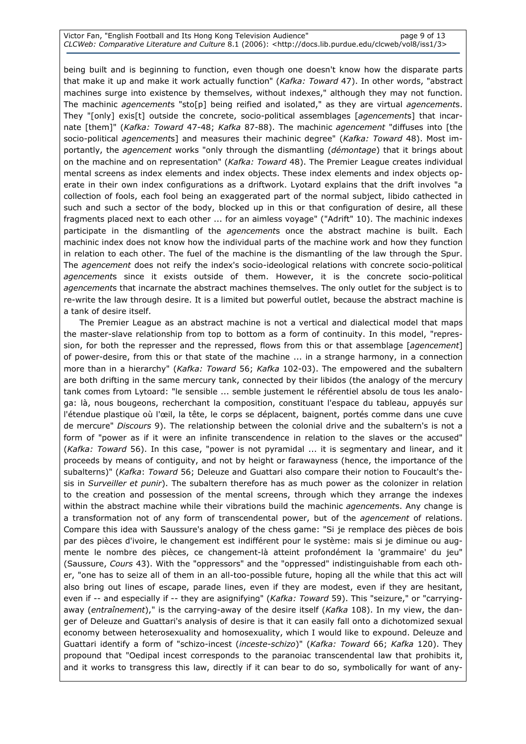Victor Fan, "English Football and Its Hong Kong Television Audience" page 9 of 13 CLCWeb: Comparative Literature and Culture 8.1 (2006): <http://docs.lib.purdue.edu/clcweb/vol8/iss1/3>

being built and is beginning to function, even though one doesn't know how the disparate parts that make it up and make it work actually function" (Kafka: Toward 47). In other words, "abstract machines surge into existence by themselves, without indexes," although they may not function. The machinic *agencements* "sto[p] being reified and isolated," as they are virtual *agencements*. They "[only] exis[t] outside the concrete, socio-political assemblages [agencements] that incarnate [them]" (Kafka: Toward 47-48; Kafka 87-88). The machinic agencement "diffuses into [the socio-political *agencements*] and measures their machinic degree" (Kafka: Toward 48). Most importantly, the *agencement* works "only through the dismantling (*démontage*) that it brings about on the machine and on representation" (Kafka: Toward 48). The Premier League creates individual mental screens as index elements and index objects. These index elements and index objects operate in their own index configurations as a driftwork. Lyotard explains that the drift involves "a collection of fools, each fool being an exaggerated part of the normal subject, libido cathected in such and such a sector of the body, blocked up in this or that configuration of desire, all these fragments placed next to each other ... for an aimless voyage" ("Adrift" 10). The machinic indexes participate in the dismantling of the *agencements* once the abstract machine is built. Each machinic index does not know how the individual parts of the machine work and how they function in relation to each other. The fuel of the machine is the dismantling of the law through the Spur. The *agencement* does not reify the index's socio-ideological relations with concrete socio-political agencements since it exists outside of them. However, it is the concrete socio-political agencements that incarnate the abstract machines themselves. The only outlet for the subject is to re-write the law through desire. It is a limited but powerful outlet, because the abstract machine is a tank of desire itself.

 The Premier League as an abstract machine is not a vertical and dialectical model that maps the master-slave relationship from top to bottom as a form of continuity. In this model, "repression, for both the represser and the repressed, flows from this or that assemblage [agencement] of power-desire, from this or that state of the machine ... in a strange harmony, in a connection more than in a hierarchy" (Kafka: Toward 56; Kafka 102-03). The empowered and the subaltern are both drifting in the same mercury tank, connected by their libidos (the analogy of the mercury tank comes from Lytoard: "le sensible ... semble justement le référentiel absolu de tous les analoga: là, nous bougeons, recherchant la composition, constituant l'espace du tableau, appuyés sur l'étendue plastique où l'œil, la tête, le corps se déplacent, baignent, portés comme dans une cuve de mercure" Discours 9). The relationship between the colonial drive and the subaltern's is not a form of "power as if it were an infinite transcendence in relation to the slaves or the accused" (Kafka: Toward 56). In this case, "power is not pyramidal ... it is segmentary and linear, and it proceeds by means of contiguity, and not by height or farawayness (hence, the importance of the subalterns)" (Kafka: Toward 56; Deleuze and Guattari also compare their notion to Foucault's thesis in Surveiller et punir). The subaltern therefore has as much power as the colonizer in relation to the creation and possession of the mental screens, through which they arrange the indexes within the abstract machine while their vibrations build the machinic *agencements*. Any change is a transformation not of any form of transcendental power, but of the *agencement* of relations. Compare this idea with Saussure's analogy of the chess game: "Si je remplace des pièces de bois par des pièces d'ivoire, le changement est indifférent pour le système: mais si je diminue ou augmente le nombre des pièces, ce changement-là atteint profondément la 'grammaire' du jeu" (Saussure, Cours 43). With the "oppressors" and the "oppressed" indistinguishable from each other, "one has to seize all of them in an all-too-possible future, hoping all the while that this act will also bring out lines of escape, parade lines, even if they are modest, even if they are hesitant, even if -- and especially if -- they are asignifying" (Kafka: Toward 59). This "seizure," or "carryingaway (entraînement)," is the carrying-away of the desire itself (Kafka 108). In my view, the danger of Deleuze and Guattari's analysis of desire is that it can easily fall onto a dichotomized sexual economy between heterosexuality and homosexuality, which I would like to expound. Deleuze and Guattari identify a form of "schizo-incest (inceste-schizo)" (Kafka: Toward 66; Kafka 120). They propound that "Oedipal incest corresponds to the paranoiac transcendental law that prohibits it, and it works to transgress this law, directly if it can bear to do so, symbolically for want of any-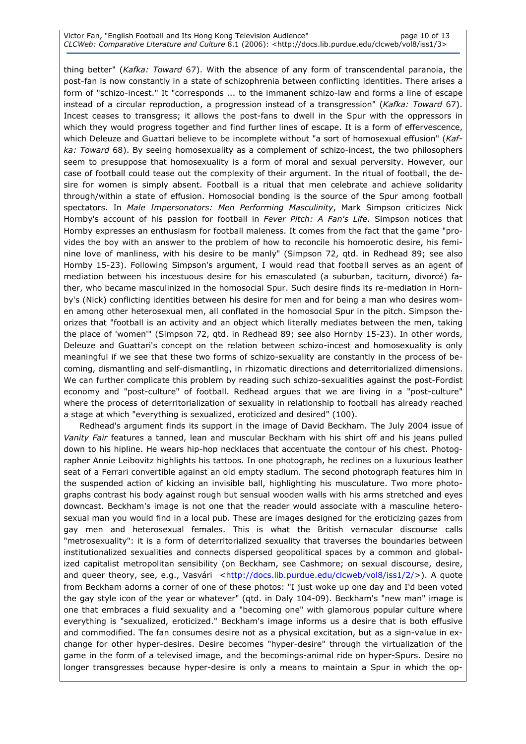#### Victor Fan, "English Football and Its Hong Kong Television Audience" page 10 of 13 CLCWeb: Comparative Literature and Culture 8.1 (2006): <http://docs.lib.purdue.edu/clcweb/vol8/iss1/3>

thing better" (Kafka: Toward 67). With the absence of any form of transcendental paranoia, the post-fan is now constantly in a state of schizophrenia between conflicting identities. There arises a form of "schizo-incest." It "corresponds ... to the immanent schizo-law and forms a line of escape instead of a circular reproduction, a progression instead of a transgression" (Kafka: Toward 67). Incest ceases to transgress; it allows the post-fans to dwell in the Spur with the oppressors in which they would progress together and find further lines of escape. It is a form of effervescence, which Deleuze and Guattari believe to be incomplete without "a sort of homosexual effusion" (Kafka: Toward 68). By seeing homosexuality as a complement of schizo-incest, the two philosophers seem to presuppose that homosexuality is a form of moral and sexual perversity. However, our case of football could tease out the complexity of their argument. In the ritual of football, the desire for women is simply absent. Football is a ritual that men celebrate and achieve solidarity through/within a state of effusion. Homosocial bonding is the source of the Spur among football spectators. In Male Impersonators: Men Performing Masculinity, Mark Simpson criticizes Nick Hornby's account of his passion for football in Fever Pitch: A Fan's Life. Simpson notices that Hornby expresses an enthusiasm for football maleness. It comes from the fact that the game "provides the boy with an answer to the problem of how to reconcile his homoerotic desire, his feminine love of manliness, with his desire to be manly" (Simpson 72, qtd. in Redhead 89; see also Hornby 15-23). Following Simpson's argument, I would read that football serves as an agent of mediation between his incestuous desire for his emasculated (a suburban, taciturn, divorcé) father, who became masculinized in the homosocial Spur. Such desire finds its re-mediation in Hornby's (Nick) conflicting identities between his desire for men and for being a man who desires women among other heterosexual men, all conflated in the homosocial Spur in the pitch. Simpson theorizes that "football is an activity and an object which literally mediates between the men, taking the place of 'women'" (Simpson 72, qtd. in Redhead 89; see also Hornby 15-23). In other words, Deleuze and Guattari's concept on the relation between schizo-incest and homosexuality is only meaningful if we see that these two forms of schizo-sexuality are constantly in the process of becoming, dismantling and self-dismantling, in rhizomatic directions and deterritorialized dimensions. We can further complicate this problem by reading such schizo-sexualities against the post-Fordist economy and "post-culture" of football. Redhead argues that we are living in a "post-culture" where the process of deterritorialization of sexuality in relationship to football has already reached a stage at which "everything is sexualized, eroticized and desired" (100).

 Redhead's argument finds its support in the image of David Beckham. The July 2004 issue of Vanity Fair features a tanned, lean and muscular Beckham with his shirt off and his jeans pulled down to his hipline. He wears hip-hop necklaces that accentuate the contour of his chest. Photographer Annie Leibovitz highlights his tattoos. In one photograph, he reclines on a luxurious leather seat of a Ferrari convertible against an old empty stadium. The second photograph features him in the suspended action of kicking an invisible ball, highlighting his musculature. Two more photographs contrast his body against rough but sensual wooden walls with his arms stretched and eyes downcast. Beckham's image is not one that the reader would associate with a masculine heterosexual man you would find in a local pub. These are images designed for the eroticizing gazes from gay men and heterosexual females. This is what the British vernacular discourse calls "metrosexuality": it is a form of deterritorialized sexuality that traverses the boundaries between institutionalized sexualities and connects dispersed geopolitical spaces by a common and globalized capitalist metropolitan sensibility (on Beckham, see Cashmore; on sexual discourse, desire, and queer theory, see, e.g., Vasvári <http://docs.lib.purdue.edu/clcweb/vol8/iss1/2/>). A quote from Beckham adorns a corner of one of these photos: "I just woke up one day and I'd been voted the gay style icon of the year or whatever" (qtd. in Daly 104-09). Beckham's "new man" image is one that embraces a fluid sexuality and a "becoming one" with glamorous popular culture where everything is "sexualized, eroticized." Beckham's image informs us a desire that is both effusive and commodified. The fan consumes desire not as a physical excitation, but as a sign-value in exchange for other hyper-desires. Desire becomes "hyper-desire" through the virtualization of the game in the form of a televised image, and the becomings-animal ride on hyper-Spurs. Desire no longer transgresses because hyper-desire is only a means to maintain a Spur in which the op-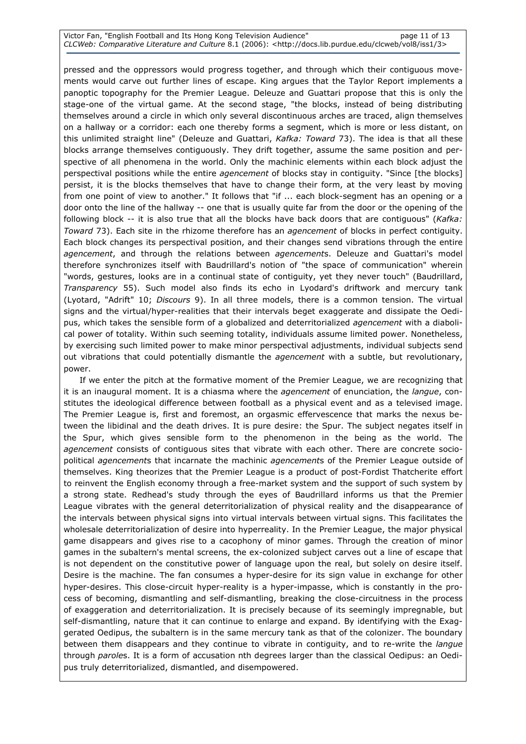#### Victor Fan, "English Football and Its Hong Kong Television Audience" page 11 of 13 CLCWeb: Comparative Literature and Culture 8.1 (2006): <http://docs.lib.purdue.edu/clcweb/vol8/iss1/3>

pressed and the oppressors would progress together, and through which their contiguous movements would carve out further lines of escape. King argues that the Taylor Report implements a panoptic topography for the Premier League. Deleuze and Guattari propose that this is only the stage-one of the virtual game. At the second stage, "the blocks, instead of being distributing themselves around a circle in which only several discontinuous arches are traced, align themselves on a hallway or a corridor: each one thereby forms a segment, which is more or less distant, on this unlimited straight line" (Deleuze and Guattari, Kafka: Toward 73). The idea is that all these blocks arrange themselves contiguously. They drift together, assume the same position and perspective of all phenomena in the world. Only the machinic elements within each block adjust the perspectival positions while the entire *agencement* of blocks stay in contiguity. "Since [the blocks] persist, it is the blocks themselves that have to change their form, at the very least by moving from one point of view to another." It follows that "if ... each block-segment has an opening or a door onto the line of the hallway -- one that is usually quite far from the door or the opening of the following block -- it is also true that all the blocks have back doors that are contiguous" (Kafka: Toward 73). Each site in the rhizome therefore has an *agencement* of blocks in perfect contiguity. Each block changes its perspectival position, and their changes send vibrations through the entire agencement, and through the relations between agencements. Deleuze and Guattari's model therefore synchronizes itself with Baudrillard's notion of "the space of communication" wherein "words, gestures, looks are in a continual state of contiguity, yet they never touch" (Baudrillard, Transparency 55). Such model also finds its echo in Lyodard's driftwork and mercury tank (Lyotard, "Adrift" 10; Discours 9). In all three models, there is a common tension. The virtual signs and the virtual/hyper-realities that their intervals beget exaggerate and dissipate the Oedipus, which takes the sensible form of a globalized and deterritorialized *agencement* with a diabolical power of totality. Within such seeming totality, individuals assume limited power. Nonetheless, by exercising such limited power to make minor perspectival adjustments, individual subjects send out vibrations that could potentially dismantle the *agencement* with a subtle, but revolutionary, power.

 If we enter the pitch at the formative moment of the Premier League, we are recognizing that it is an inaugural moment. It is a chiasma where the *agencement* of enunciation, the *langue*, constitutes the ideological difference between football as a physical event and as a televised image. The Premier League is, first and foremost, an orgasmic effervescence that marks the nexus between the libidinal and the death drives. It is pure desire: the Spur. The subject negates itself in the Spur, which gives sensible form to the phenomenon in the being as the world. The agencement consists of contiguous sites that vibrate with each other. There are concrete sociopolitical agencements that incarnate the machinic agencements of the Premier League outside of themselves. King theorizes that the Premier League is a product of post-Fordist Thatcherite effort to reinvent the English economy through a free-market system and the support of such system by a strong state. Redhead's study through the eyes of Baudrillard informs us that the Premier League vibrates with the general deterritorialization of physical reality and the disappearance of the intervals between physical signs into virtual intervals between virtual signs. This facilitates the wholesale deterritorialization of desire into hyperreality. In the Premier League, the major physical game disappears and gives rise to a cacophony of minor games. Through the creation of minor games in the subaltern's mental screens, the ex-colonized subject carves out a line of escape that is not dependent on the constitutive power of language upon the real, but solely on desire itself. Desire is the machine. The fan consumes a hyper-desire for its sign value in exchange for other hyper-desires. This close-circuit hyper-reality is a hyper-impasse, which is constantly in the process of becoming, dismantling and self-dismantling, breaking the close-circuitness in the process of exaggeration and deterritorialization. It is precisely because of its seemingly impregnable, but self-dismantling, nature that it can continue to enlarge and expand. By identifying with the Exaggerated Oedipus, the subaltern is in the same mercury tank as that of the colonizer. The boundary between them disappears and they continue to vibrate in contiguity, and to re-write the *langue* through paroles. It is a form of accusation nth degrees larger than the classical Oedipus: an Oedipus truly deterritorialized, dismantled, and disempowered.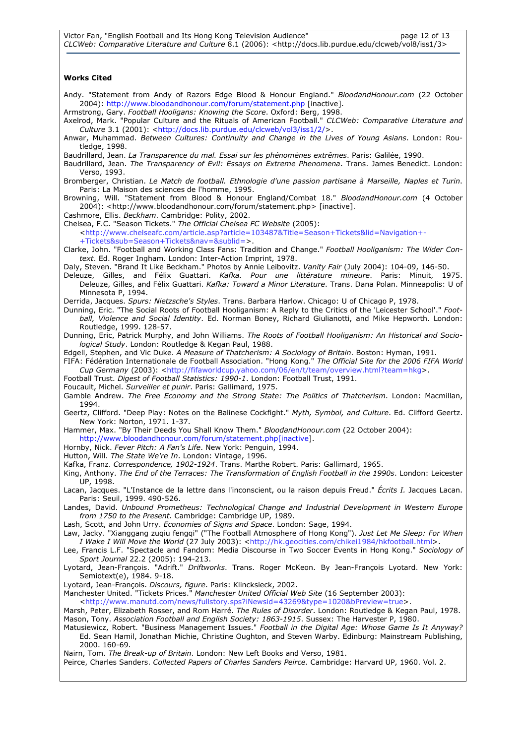#### Works Cited

- Andy. "Statement from Andy of Razors Edge Blood & Honour England." BloodandHonour.com (22 October 2004): http://www.bloodandhonour.com/forum/statement.php [inactive].
- Armstrong, Gary. Football Hooligans: Knowing the Score. Oxford: Berg, 1998. Axelrod, Mark. "Popular Culture and the Rituals of American Football." CLCWeb: Comparative Literature and Culture 3.1 (2001): <http://docs.lib.purdue.edu/clcweb/vol3/iss1/2/>.
- Anwar, Muhammad. Between Cultures: Continuity and Change in the Lives of Young Asians. London: Routledge, 1998.
- Baudrillard, Jean. La Transparence du mal. Essai sur les phénomènes extrêmes. Paris: Galilée, 1990.
- Baudrillard, Jean. The Transparency of Evil: Essays on Extreme Phenomena. Trans. James Benedict. London: Verso, 1993.
- Bromberger, Christian. Le Match de football. Ethnologie d'une passion partisane à Marseille, Naples et Turin. Paris: La Maison des sciences de l'homme, 1995.
- Browning, Will. "Statement from Blood & Honour England/Combat 18." BloodandHonour.com (4 October 2004): <http://www.bloodandhonour.com/forum/statement.php> [inactive].

Cashmore, Ellis. Beckham. Cambridge: Polity, 2002.

- Chelsea, F.C. "Season Tickets." The Official Chelsea FC Website (2005):
	- <http://www.chelseafc.com/article.asp?article=103487&Title=Season+Tickets&lid=Navigation+- +Tickets&sub=Season+Tickets&nav=&sublid=>.
- Clarke, John. "Football and Working Class Fans: Tradition and Change." Football Hooliganism: The Wider Context. Ed. Roger Ingham. London: Inter-Action Imprint, 1978.
- Daly, Steven. "Brand It Like Beckham." Photos by Annie Leibovitz. Vanity Fair (July 2004): 104-09, 146-50.
- Deleuze, Gilles, and Félix Guattari. Kafka. Pour une littérature mineure. Paris: Minuit, 1975. Deleuze, Gilles, and Félix Guattari. Kafka: Toward a Minor Literature. Trans. Dana Polan. Minneapolis: U of Minnesota P, 1994.
- Derrida, Jacques. Spurs: Nietzsche's Styles. Trans. Barbara Harlow. Chicago: U of Chicago P, 1978.
- Dunning, Eric. "The Social Roots of Football Hooliganism: A Reply to the Critics of the 'Leicester School'." Football, Violence and Social Identity. Ed. Norman Boney, Richard Giulianotti, and Mike Hepworth. London: Routledge, 1999. 128-57.
- Dunning, Eric, Patrick Murphy, and John Williams. The Roots of Football Hooliganism: An Historical and Sociological Study. London: Routledge & Kegan Paul, 1988.
- Edgell, Stephen, and Vic Duke. A Measure of Thatcherism: A Sociology of Britain. Boston: Hyman, 1991.
- FIFA: Fédération Internationale de Football Association. "Hong Kong." The Official Site for the 2006 FIFA World Cup Germany (2003): <http://fifaworldcup.yahoo.com/06/en/t/team/overview.html?team=hkg>.
- Football Trust. Digest of Football Statistics: 1990-1. London: Football Trust, 1991.
- Foucault, Michel. Surveiller et punir. Paris: Gallimard, 1975.
- Gamble Andrew. The Free Economy and the Strong State: The Politics of Thatcherism. London: Macmillan, 1994.
- Geertz, Clifford. "Deep Play: Notes on the Balinese Cockfight." Myth, Symbol, and Culture. Ed. Clifford Geertz. New York: Norton, 1971. 1-37.
- Hammer, Max. "By Their Deeds You Shall Know Them." BloodandHonour.com (22 October 2004):
- http://www.bloodandhonour.com/forum/statement.php[inactive].
- Hornby, Nick. Fever Pitch: A Fan's Life. New York: Penguin, 1994.
- Hutton, Will. The State We're In. London: Vintage, 1996.
- Kafka, Franz. Correspondence, 1902-1924. Trans. Marthe Robert. Paris: Gallimard, 1965.
- King, Anthony. The End of the Terraces: The Transformation of English Football in the 1990s. London: Leicester UP, 1998.
- Lacan, Jacques. "L'Instance de la lettre dans l'inconscient, ou la raison depuis Freud." Écrits I. Jacques Lacan. Paris: Seuil, 1999. 490-526.
- Landes, David. Unbound Prometheus: Technological Change and Industrial Development in Western Europe from 1750 to the Present. Cambridge: Cambridge UP, 1989.
- Lash, Scott, and John Urry. Economies of Signs and Space. London: Sage, 1994.
- Law, Jacky. "Xianggang zuqiu fengqi" ("The Football Atmosphere of Hong Kong"). Just Let Me Sleep: For When I Wake I Will Move the World (27 July 2003): <http://hk.geocities.com/chikei1984/hkfootball.html>.
- Lee, Francis L.F. "Spectacle and Fandom: Media Discourse in Two Soccer Events in Hong Kong." Sociology of Sport Journal 22.2 (2005): 194-213.
- Lyotard, Jean-François. "Adrift." Driftworks. Trans. Roger McKeon. By Jean-François Lyotard. New York: Semiotext(e), 1984. 9-18.
- Lyotard, Jean-François. Discours, figure. Paris: Klincksieck, 2002.
- Manchester United. "Tickets Prices." Manchester United Official Web Site (16 September 2003):
- <http://www.manutd.com/news/fullstory.sps?iNewsid=43269&type=1020&bPreview=true>.
- Marsh, Peter, Elizabeth Rosser, and Rom Harré. The Rules of Disorder. London: Routledge & Kegan Paul, 1978. Mason, Tony. Association Football and English Society: 1863-1915. Sussex: The Harvester P, 1980.
- Matusiewicz, Robert. "Business Management Issues." *Football in the Digital Age: Whose Game Is It Anyway?* Ed. Sean Hamil, Jonathan Michie, Christine Oughton, and Steven Warby. Edinburg: Mainstream Publishing, 2000. 160-69.
- Nairn, Tom. The Break-up of Britain. London: New Left Books and Verso, 1981.
- Peirce, Charles Sanders. Collected Papers of Charles Sanders Peirce. Cambridge: Harvard UP, 1960. Vol. 2.